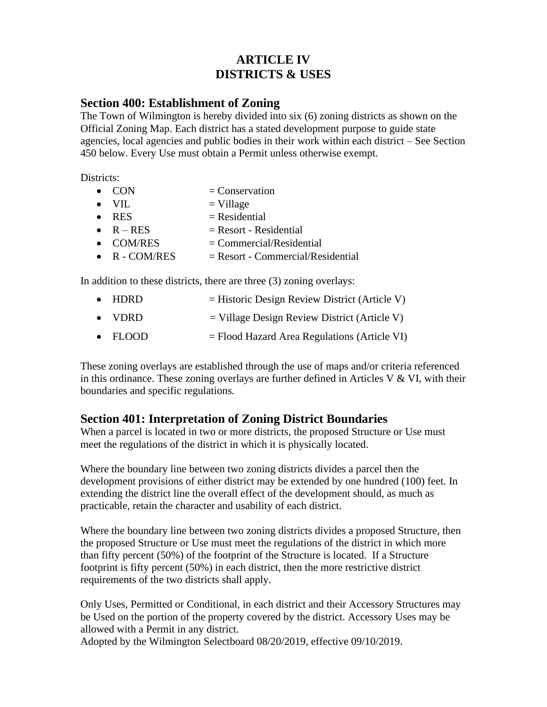# **ARTICLE IV DISTRICTS & USES**

### **Section 400: Establishment of Zoning**

The Town of Wilmington is hereby divided into six (6) zoning districts as shown on the Official Zoning Map. Each district has a stated development purpose to guide state agencies, local agencies and public bodies in their work within each district – See Section 450 below. Every Use must obtain a Permit unless otherwise exempt.

Districts:

| $\bullet$ CON         | $=$ Conservation                    |
|-----------------------|-------------------------------------|
| $\bullet$ VII.        | $=$ Village                         |
| $\bullet$ RES         | $=$ Residential                     |
| $\bullet$ R – RES     | $=$ Resort - Residential            |
| $\bullet$ COM/RES     | $=$ Commercial/Residential          |
| $\bullet$ R - COM/RES | $=$ Resort - Commercial/Residential |
|                       |                                     |

In addition to these districts, there are three (3) zoning overlays:

- HDRD  $=$  Historic Design Review District (Article V)
- VDRD  $=$  Village Design Review District (Article V)
- FLOOD  $=$  Flood Hazard Area Regulations (Article VI)

These zoning overlays are established through the use of maps and/or criteria referenced in this ordinance. These zoning overlays are further defined in Articles V  $& VI$ , with their boundaries and specific regulations.

# **Section 401: Interpretation of Zoning District Boundaries**

When a parcel is located in two or more districts, the proposed Structure or Use must meet the regulations of the district in which it is physically located.

Where the boundary line between two zoning districts divides a parcel then the development provisions of either district may be extended by one hundred (100) feet. In extending the district line the overall effect of the development should, as much as practicable, retain the character and usability of each district.

Where the boundary line between two zoning districts divides a proposed Structure, then the proposed Structure or Use must meet the regulations of the district in which more than fifty percent (50%) of the footprint of the Structure is located. If a Structure footprint is fifty percent (50%) in each district, then the more restrictive district requirements of the two districts shall apply.

Only Uses, Permitted or Conditional, in each district and their Accessory Structures may be Used on the portion of the property covered by the district. Accessory Uses may be allowed with a Permit in any district.

Adopted by the Wilmington Selectboard 08/20/2019, effective 09/10/2019.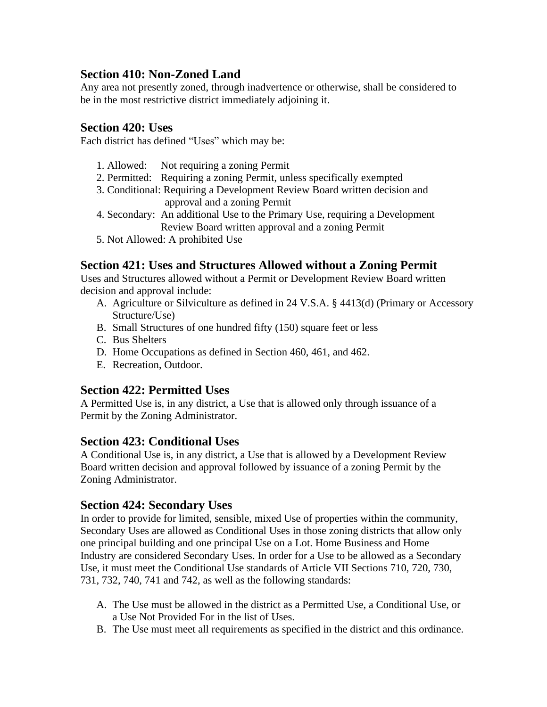# **Section 410: Non-Zoned Land**

Any area not presently zoned, through inadvertence or otherwise, shall be considered to be in the most restrictive district immediately adjoining it.

### **Section 420: Uses**

Each district has defined "Uses" which may be:

- 1. Allowed: Not requiring a zoning Permit
- 2. Permitted: Requiring a zoning Permit, unless specifically exempted
- 3. Conditional: Requiring a Development Review Board written decision and approval and a zoning Permit
- 4. Secondary: An additional Use to the Primary Use, requiring a Development Review Board written approval and a zoning Permit
- 5. Not Allowed: A prohibited Use

### **Section 421: Uses and Structures Allowed without a Zoning Permit**

Uses and Structures allowed without a Permit or Development Review Board written decision and approval include:

- A. Agriculture or Silviculture as defined in 24 V.S.A. § 4413(d) (Primary or Accessory Structure/Use)
- B. Small Structures of one hundred fifty (150) square feet or less
- C. Bus Shelters
- D. Home Occupations as defined in Section 460, 461, and 462.
- E. Recreation, Outdoor.

### **Section 422: Permitted Uses**

A Permitted Use is, in any district, a Use that is allowed only through issuance of a Permit by the Zoning Administrator.

### **Section 423: Conditional Uses**

A Conditional Use is, in any district, a Use that is allowed by a Development Review Board written decision and approval followed by issuance of a zoning Permit by the Zoning Administrator.

### **Section 424: Secondary Uses**

In order to provide for limited, sensible, mixed Use of properties within the community, Secondary Uses are allowed as Conditional Uses in those zoning districts that allow only one principal building and one principal Use on a Lot. Home Business and Home Industry are considered Secondary Uses. In order for a Use to be allowed as a Secondary Use, it must meet the Conditional Use standards of Article VII Sections 710, 720, 730, 731, 732, 740, 741 and 742, as well as the following standards:

- A. The Use must be allowed in the district as a Permitted Use, a Conditional Use, or a Use Not Provided For in the list of Uses.
- B. The Use must meet all requirements as specified in the district and this ordinance.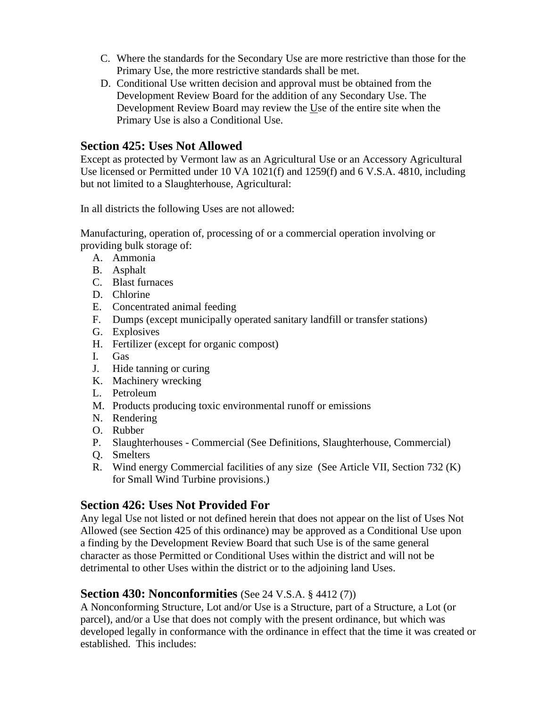- C. Where the standards for the Secondary Use are more restrictive than those for the Primary Use, the more restrictive standards shall be met.
- D. Conditional Use written decision and approval must be obtained from the Development Review Board for the addition of any Secondary Use. The Development Review Board may review the Use of the entire site when the Primary Use is also a Conditional Use.

### **Section 425: Uses Not Allowed**

Except as protected by Vermont law as an Agricultural Use or an Accessory Agricultural Use licensed or Permitted under 10 VA 1021(f) and 1259(f) and 6 V.S.A. 4810, including but not limited to a Slaughterhouse, Agricultural:

In all districts the following Uses are not allowed:

Manufacturing, operation of, processing of or a commercial operation involving or providing bulk storage of:

- A. Ammonia
- B. Asphalt
- C. Blast furnaces
- D. Chlorine
- E. Concentrated animal feeding
- F. Dumps (except municipally operated sanitary landfill or transfer stations)
- G. Explosives
- H. Fertilizer (except for organic compost)
- I. Gas
- J. Hide tanning or curing
- K. Machinery wrecking
- L. Petroleum
- M. Products producing toxic environmental runoff or emissions
- N. Rendering
- O. Rubber
- P. Slaughterhouses Commercial (See Definitions, Slaughterhouse, Commercial)
- Q. Smelters
- R. Wind energy Commercial facilities of any size (See Article VII, Section 732 (K) for Small Wind Turbine provisions.)

# **Section 426: Uses Not Provided For**

Any legal Use not listed or not defined herein that does not appear on the list of Uses Not Allowed (see Section 425 of this ordinance) may be approved as a Conditional Use upon a finding by the Development Review Board that such Use is of the same general character as those Permitted or Conditional Uses within the district and will not be detrimental to other Uses within the district or to the adjoining land Uses.

# **Section 430: Nonconformities** (See 24 V.S.A. § 4412 (7))

A Nonconforming Structure, Lot and/or Use is a Structure, part of a Structure, a Lot (or parcel), and/or a Use that does not comply with the present ordinance, but which was developed legally in conformance with the ordinance in effect that the time it was created or established. This includes: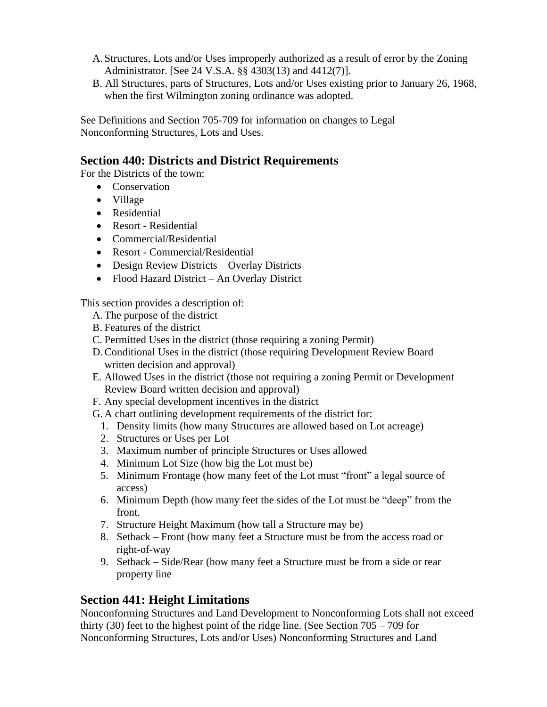- A. Structures, Lots and/or Uses improperly authorized as a result of error by the Zoning Administrator. [See 24 V.S.A. §§ 4303(13) and 4412(7)].
- B. All Structures, parts of Structures, Lots and/or Uses existing prior to January 26, 1968, when the first Wilmington zoning ordinance was adopted.

See Definitions and Section 705-709 for information on changes to Legal Nonconforming Structures, Lots and Uses.

# **Section 440: Districts and District Requirements**

For the Districts of the town:

- Conservation
- Village
- Residential
- Resort Residential
- Commercial/Residential
- Resort Commercial/Residential
- Design Review Districts Overlay Districts
- Flood Hazard District An Overlay District

This section provides a description of:

- A.The purpose of the district
- B. Features of the district
- C. Permitted Uses in the district (those requiring a zoning Permit)
- D.Conditional Uses in the district (those requiring Development Review Board written decision and approval)
- E. Allowed Uses in the district (those not requiring a zoning Permit or Development Review Board written decision and approval)
- F. Any special development incentives in the district
- G. A chart outlining development requirements of the district for:
	- 1. Density limits (how many Structures are allowed based on Lot acreage)
	- 2. Structures or Uses per Lot
	- 3. Maximum number of principle Structures or Uses allowed
	- 4. Minimum Lot Size (how big the Lot must be)
	- 5. Minimum Frontage (how many feet of the Lot must "front" a legal source of access)
	- 6. Minimum Depth (how many feet the sides of the Lot must be "deep" from the front.
	- 7. Structure Height Maximum (how tall a Structure may be)
	- 8. Setback Front (how many feet a Structure must be from the access road or right-of-way
	- 9. Setback Side/Rear (how many feet a Structure must be from a side or rear property line

# **Section 441: Height Limitations**

Nonconforming Structures and Land Development to Nonconforming Lots shall not exceed thirty (30) feet to the highest point of the ridge line. (See Section 705 – 709 for Nonconforming Structures, Lots and/or Uses) Nonconforming Structures and Land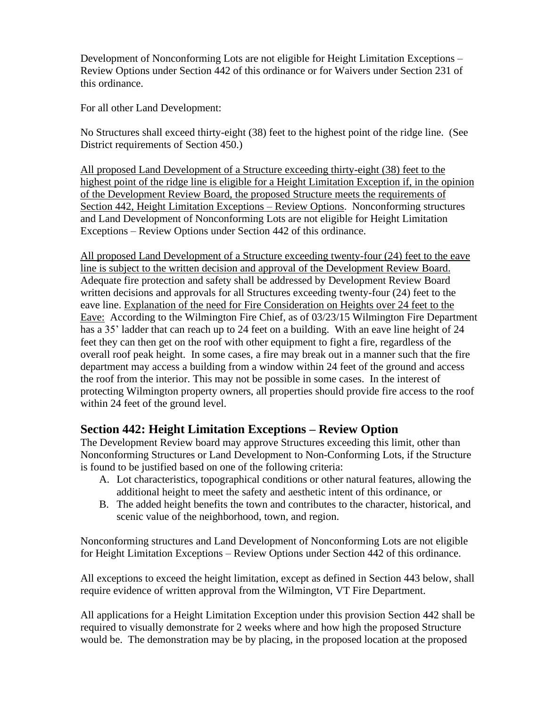Development of Nonconforming Lots are not eligible for Height Limitation Exceptions – Review Options under Section 442 of this ordinance or for Waivers under Section 231 of this ordinance.

For all other Land Development:

No Structures shall exceed thirty-eight (38) feet to the highest point of the ridge line. (See District requirements of Section 450.)

All proposed Land Development of a Structure exceeding thirty-eight (38) feet to the highest point of the ridge line is eligible for a Height Limitation Exception if, in the opinion of the Development Review Board, the proposed Structure meets the requirements of Section 442, Height Limitation Exceptions – Review Options. Nonconforming structures and Land Development of Nonconforming Lots are not eligible for Height Limitation Exceptions – Review Options under Section 442 of this ordinance.

All proposed Land Development of a Structure exceeding twenty-four (24) feet to the eave line is subject to the written decision and approval of the Development Review Board. Adequate fire protection and safety shall be addressed by Development Review Board written decisions and approvals for all Structures exceeding twenty-four (24) feet to the eave line. Explanation of the need for Fire Consideration on Heights over 24 feet to the Eave: According to the Wilmington Fire Chief, as of 03/23/15 Wilmington Fire Department has a 35' ladder that can reach up to 24 feet on a building. With an eave line height of 24 feet they can then get on the roof with other equipment to fight a fire, regardless of the overall roof peak height. In some cases, a fire may break out in a manner such that the fire department may access a building from a window within 24 feet of the ground and access the roof from the interior. This may not be possible in some cases. In the interest of protecting Wilmington property owners, all properties should provide fire access to the roof within 24 feet of the ground level.

# **Section 442: Height Limitation Exceptions – Review Option**

The Development Review board may approve Structures exceeding this limit, other than Nonconforming Structures or Land Development to Non-Conforming Lots, if the Structure is found to be justified based on one of the following criteria:

- A. Lot characteristics, topographical conditions or other natural features, allowing the additional height to meet the safety and aesthetic intent of this ordinance, or
- B. The added height benefits the town and contributes to the character, historical, and scenic value of the neighborhood, town, and region.

Nonconforming structures and Land Development of Nonconforming Lots are not eligible for Height Limitation Exceptions – Review Options under Section 442 of this ordinance.

All exceptions to exceed the height limitation, except as defined in Section 443 below, shall require evidence of written approval from the Wilmington, VT Fire Department.

All applications for a Height Limitation Exception under this provision Section 442 shall be required to visually demonstrate for 2 weeks where and how high the proposed Structure would be. The demonstration may be by placing, in the proposed location at the proposed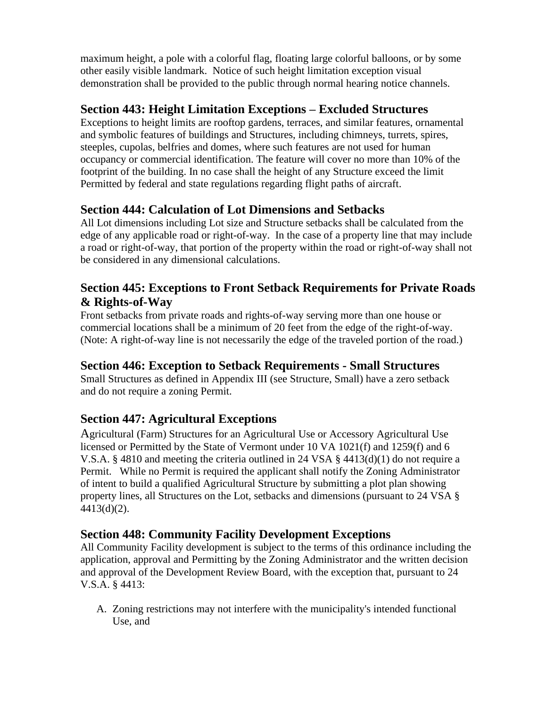maximum height, a pole with a colorful flag, floating large colorful balloons, or by some other easily visible landmark. Notice of such height limitation exception visual demonstration shall be provided to the public through normal hearing notice channels.

# **Section 443: Height Limitation Exceptions – Excluded Structures**

Exceptions to height limits are rooftop gardens, terraces, and similar features, ornamental and symbolic features of buildings and Structures, including chimneys, turrets, spires, steeples, cupolas, belfries and domes, where such features are not used for human occupancy or commercial identification. The feature will cover no more than 10% of the footprint of the building. In no case shall the height of any Structure exceed the limit Permitted by federal and state regulations regarding flight paths of aircraft.

# **Section 444: Calculation of Lot Dimensions and Setbacks**

All Lot dimensions including Lot size and Structure setbacks shall be calculated from the edge of any applicable road or right-of-way. In the case of a property line that may include a road or right-of-way, that portion of the property within the road or right-of-way shall not be considered in any dimensional calculations.

# **Section 445: Exceptions to Front Setback Requirements for Private Roads & Rights-of-Way**

Front setbacks from private roads and rights-of-way serving more than one house or commercial locations shall be a minimum of 20 feet from the edge of the right-of-way. (Note: A right-of-way line is not necessarily the edge of the traveled portion of the road.)

# **Section 446: Exception to Setback Requirements - Small Structures**

Small Structures as defined in Appendix III (see Structure, Small) have a zero setback and do not require a zoning Permit.

# **Section 447: Agricultural Exceptions**

Agricultural (Farm) Structures for an Agricultural Use or Accessory Agricultural Use licensed or Permitted by the State of Vermont under 10 VA 1021(f) and 1259(f) and 6 V.S.A. § 4810 and meeting the criteria outlined in 24 VSA § 4413(d)(1) do not require a Permit. While no Permit is required the applicant shall notify the Zoning Administrator of intent to build a qualified Agricultural Structure by submitting a plot plan showing property lines, all Structures on the Lot, setbacks and dimensions (pursuant to 24 VSA § 4413(d)(2).

# **Section 448: Community Facility Development Exceptions**

All Community Facility development is subject to the terms of this ordinance including the application, approval and Permitting by the Zoning Administrator and the written decision and approval of the Development Review Board, with the exception that, pursuant to 24 V.S.A. § 4413:

A. Zoning restrictions may not interfere with the municipality's intended functional Use, and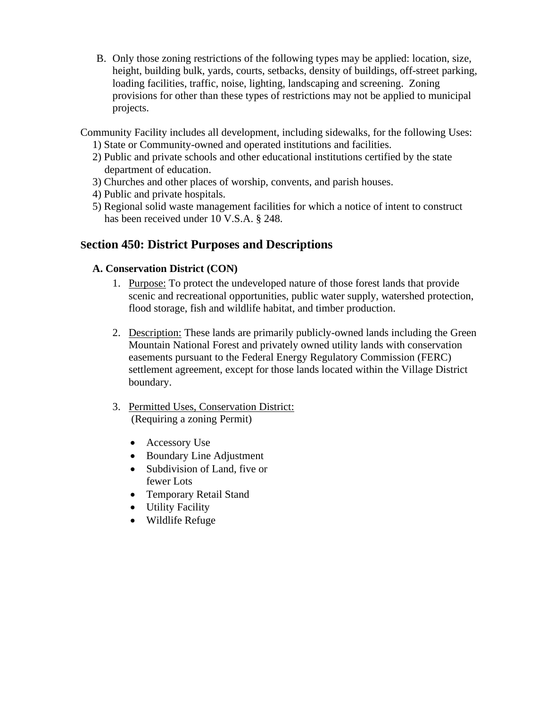B. Only those zoning restrictions of the following types may be applied: location, size, height, building bulk, yards, courts, setbacks, density of buildings, off-street parking, loading facilities, traffic, noise, lighting, landscaping and screening. Zoning provisions for other than these types of restrictions may not be applied to municipal projects.

Community Facility includes all development, including sidewalks, for the following Uses:

- 1) State or Community-owned and operated institutions and facilities.
- 2) Public and private schools and other educational institutions certified by the state department of education.
- 3) Churches and other places of worship, convents, and parish houses.
- 4) Public and private hospitals.
- 5) Regional solid waste management facilities for which a notice of intent to construct has been received under 10 V.S.A. § 248.

### **Section 450: District Purposes and Descriptions**

#### **A. Conservation District (CON)**

- 1. Purpose: To protect the undeveloped nature of those forest lands that provide scenic and recreational opportunities, public water supply, watershed protection, flood storage, fish and wildlife habitat, and timber production.
- 2. Description: These lands are primarily publicly-owned lands including the Green Mountain National Forest and privately owned utility lands with conservation easements pursuant to the Federal Energy Regulatory Commission (FERC) settlement agreement, except for those lands located within the Village District boundary.
- 3. Permitted Uses, Conservation District: (Requiring a zoning Permit)
	- Accessory Use
	- Boundary Line Adjustment
	- Subdivision of Land, five or fewer Lots
	- Temporary Retail Stand
	- Utility Facility
	- Wildlife Refuge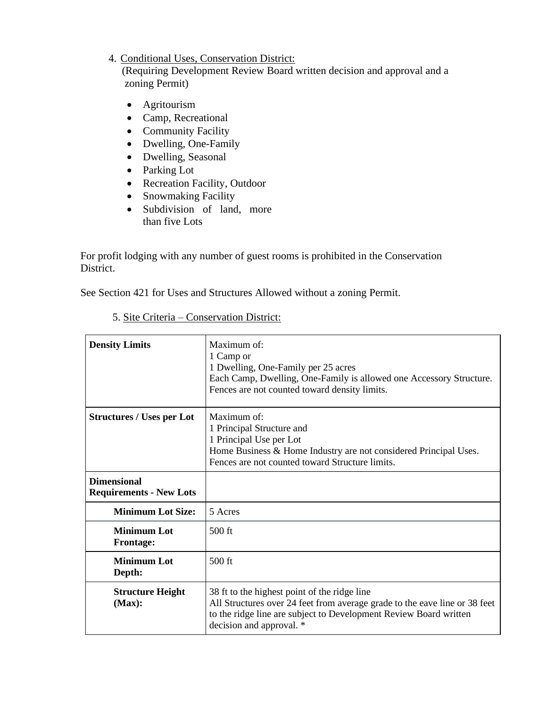#### 4. Conditional Uses, Conservation District:

 (Requiring Development Review Board written decision and approval and a zoning Permit)

- Agritourism
- Camp, Recreational
- Community Facility
- Dwelling, One-Family
- Dwelling, Seasonal
- Parking Lot
- Recreation Facility, Outdoor
- Snowmaking Facility
- Subdivision of land, more than five Lots

For profit lodging with any number of guest rooms is prohibited in the Conservation District.

See Section 421 for Uses and Structures Allowed without a zoning Permit.

| <b>Density Limits</b>                                | Maximum of:<br>1 Camp or<br>1 Dwelling, One-Family per 25 acres<br>Each Camp, Dwelling, One-Family is allowed one Accessory Structure.<br>Fences are not counted toward density limits.                                     |  |
|------------------------------------------------------|-----------------------------------------------------------------------------------------------------------------------------------------------------------------------------------------------------------------------------|--|
| <b>Structures / Uses per Lot</b>                     | Maximum of:<br>1 Principal Structure and<br>1 Principal Use per Lot<br>Home Business & Home Industry are not considered Principal Uses.<br>Fences are not counted toward Structure limits.                                  |  |
| <b>Dimensional</b><br><b>Requirements - New Lots</b> |                                                                                                                                                                                                                             |  |
| <b>Minimum Lot Size:</b>                             | 5 Acres                                                                                                                                                                                                                     |  |
| <b>Minimum Lot</b><br><b>Frontage:</b>               | $500$ ft                                                                                                                                                                                                                    |  |
| <b>Minimum Lot</b><br>Depth:                         | $500$ ft                                                                                                                                                                                                                    |  |
| <b>Structure Height</b><br>(Max):                    | 38 ft to the highest point of the ridge line<br>All Structures over 24 feet from average grade to the eave line or 38 feet<br>to the ridge line are subject to Development Review Board written<br>decision and approval. * |  |

### 5. Site Criteria – Conservation District: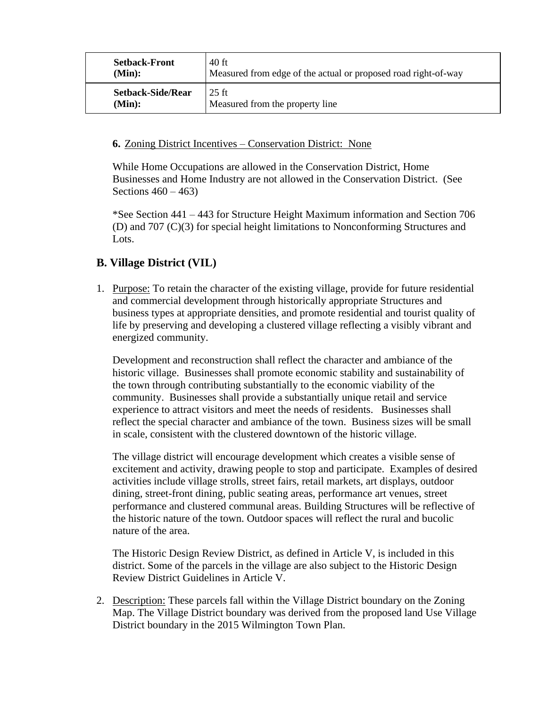| <b>Setback-Front</b>     | 40 ft                                                          |
|--------------------------|----------------------------------------------------------------|
| (Min):                   | Measured from edge of the actual or proposed road right-of-way |
| <b>Setback-Side/Rear</b> | $25$ ft                                                        |
| (Min):                   | Measured from the property line                                |

#### **6.** Zoning District Incentives – Conservation District: None

While Home Occupations are allowed in the Conservation District, Home Businesses and Home Industry are not allowed in the Conservation District. (See Sections  $460 - 463$ 

\*See Section 441 – 443 for Structure Height Maximum information and Section 706 (D) and 707 (C)(3) for special height limitations to Nonconforming Structures and Lots.

### **B. Village District (VIL)**

1. Purpose: To retain the character of the existing village, provide for future residential and commercial development through historically appropriate Structures and business types at appropriate densities, and promote residential and tourist quality of life by preserving and developing a clustered village reflecting a visibly vibrant and energized community.

Development and reconstruction shall reflect the character and ambiance of the historic village. Businesses shall promote economic stability and sustainability of the town through contributing substantially to the economic viability of the community. Businesses shall provide a substantially unique retail and service experience to attract visitors and meet the needs of residents. Businesses shall reflect the special character and ambiance of the town. Business sizes will be small in scale, consistent with the clustered downtown of the historic village.

The village district will encourage development which creates a visible sense of excitement and activity, drawing people to stop and participate. Examples of desired activities include village strolls, street fairs, retail markets, art displays, outdoor dining, street-front dining, public seating areas, performance art venues, street performance and clustered communal areas. Building Structures will be reflective of the historic nature of the town. Outdoor spaces will reflect the rural and bucolic nature of the area.

The Historic Design Review District, as defined in Article V, is included in this district. Some of the parcels in the village are also subject to the Historic Design Review District Guidelines in Article V.

2. Description: These parcels fall within the Village District boundary on the Zoning Map. The Village District boundary was derived from the proposed land Use Village District boundary in the 2015 Wilmington Town Plan.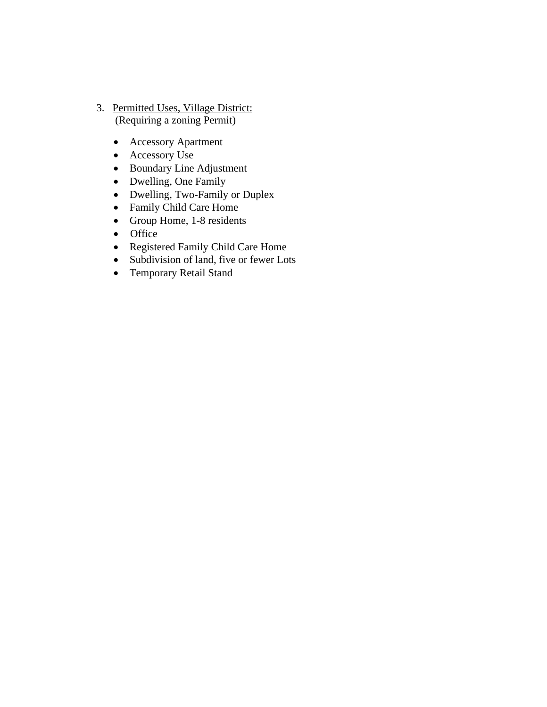- 3. Permitted Uses, Village District: (Requiring a zoning Permit)
	- Accessory Apartment
	- Accessory Use
	- Boundary Line Adjustment
	- Dwelling, One Family
	- Dwelling, Two-Family or Duplex
	- Family Child Care Home
	- Group Home, 1-8 residents
	- Office
	- Registered Family Child Care Home
	- Subdivision of land, five or fewer Lots
	- Temporary Retail Stand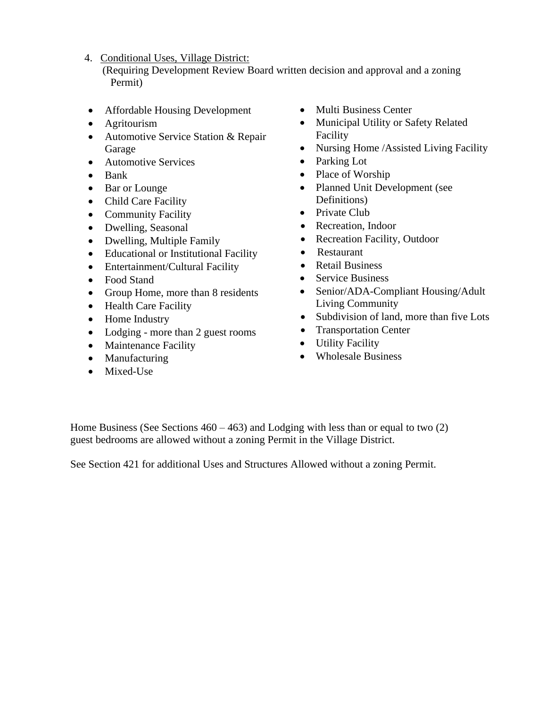4. Conditional Uses, Village District:

 (Requiring Development Review Board written decision and approval and a zoning Permit)

- Affordable Housing Development
- Agritourism
- Automotive Service Station & Repair Garage
- Automotive Services
- Bank
- Bar or Lounge
- Child Care Facility
- Community Facility
- Dwelling, Seasonal
- Dwelling, Multiple Family
- Educational or Institutional Facility
- Entertainment/Cultural Facility
- Food Stand
- Group Home, more than 8 residents
- Health Care Facility
- Home Industry
- Lodging more than 2 guest rooms
- Maintenance Facility
- Manufacturing
- Mixed-Use
- Multi Business Center
- Municipal Utility or Safety Related Facility
- Nursing Home /Assisted Living Facility
- Parking Lot
- Place of Worship
- Planned Unit Development (see Definitions)
- Private Club
- Recreation, Indoor
- Recreation Facility, Outdoor
- Restaurant
- Retail Business
- Service Business
- Senior/ADA-Compliant Housing/Adult Living Community
- Subdivision of land, more than five Lots
- Transportation Center
- Utility Facility
- Wholesale Business

Home Business (See Sections  $460 - 463$ ) and Lodging with less than or equal to two (2) guest bedrooms are allowed without a zoning Permit in the Village District.

See Section 421 for additional Uses and Structures Allowed without a zoning Permit.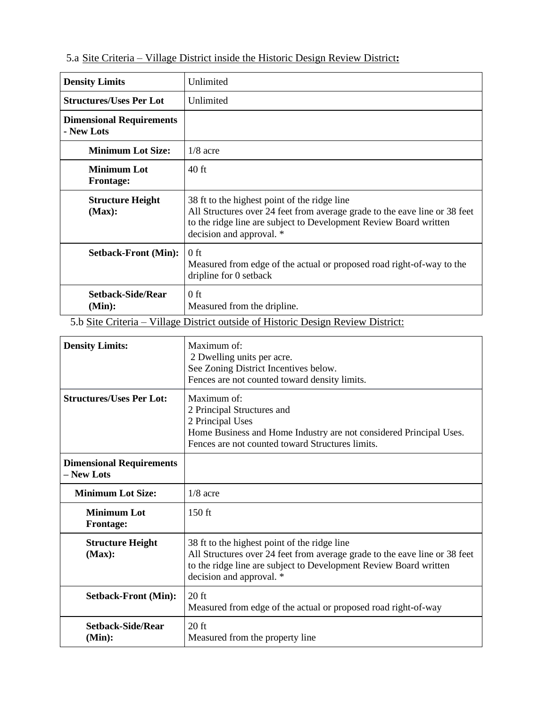### 5.a Site Criteria – Village District inside the Historic Design Review District**:**

| <b>Density Limits</b>                         | Unlimited                                                                                                                                                                                                                   |
|-----------------------------------------------|-----------------------------------------------------------------------------------------------------------------------------------------------------------------------------------------------------------------------------|
| <b>Structures/Uses Per Lot</b>                | Unlimited                                                                                                                                                                                                                   |
| <b>Dimensional Requirements</b><br>- New Lots |                                                                                                                                                                                                                             |
| <b>Minimum Lot Size:</b>                      | $1/8$ acre                                                                                                                                                                                                                  |
| <b>Minimum Lot</b><br><b>Frontage:</b>        | 40 ft                                                                                                                                                                                                                       |
| <b>Structure Height</b><br>(Max):             | 38 ft to the highest point of the ridge line<br>All Structures over 24 feet from average grade to the eave line or 38 feet<br>to the ridge line are subject to Development Review Board written<br>decision and approval. * |
| <b>Setback-Front (Min):</b>                   | $0$ ft<br>Measured from edge of the actual or proposed road right-of-way to the<br>dripline for 0 setback                                                                                                                   |
| <b>Setback-Side/Rear</b><br>(Min):            | 0 ft<br>Measured from the dripline.                                                                                                                                                                                         |

5.b Site Criteria – Village District outside of Historic Design Review District:

| <b>Density Limits:</b>                        | Maximum of:<br>2 Dwelling units per acre.<br>See Zoning District Incentives below.<br>Fences are not counted toward density limits.                                                                                         |  |
|-----------------------------------------------|-----------------------------------------------------------------------------------------------------------------------------------------------------------------------------------------------------------------------------|--|
| <b>Structures/Uses Per Lot:</b>               | Maximum of:<br>2 Principal Structures and<br>2 Principal Uses<br>Home Business and Home Industry are not considered Principal Uses.<br>Fences are not counted toward Structures limits.                                     |  |
| <b>Dimensional Requirements</b><br>- New Lots |                                                                                                                                                                                                                             |  |
| <b>Minimum Lot Size:</b>                      | $1/8$ acre                                                                                                                                                                                                                  |  |
| <b>Minimum Lot</b><br><b>Frontage:</b>        | $150$ ft                                                                                                                                                                                                                    |  |
| <b>Structure Height</b><br>(Max):             | 38 ft to the highest point of the ridge line<br>All Structures over 24 feet from average grade to the eave line or 38 feet<br>to the ridge line are subject to Development Review Board written<br>decision and approval. * |  |
| <b>Setback-Front (Min):</b>                   | $20$ ft<br>Measured from edge of the actual or proposed road right-of-way                                                                                                                                                   |  |
| <b>Setback-Side/Rear</b><br>(Min):            | $20$ ft<br>Measured from the property line                                                                                                                                                                                  |  |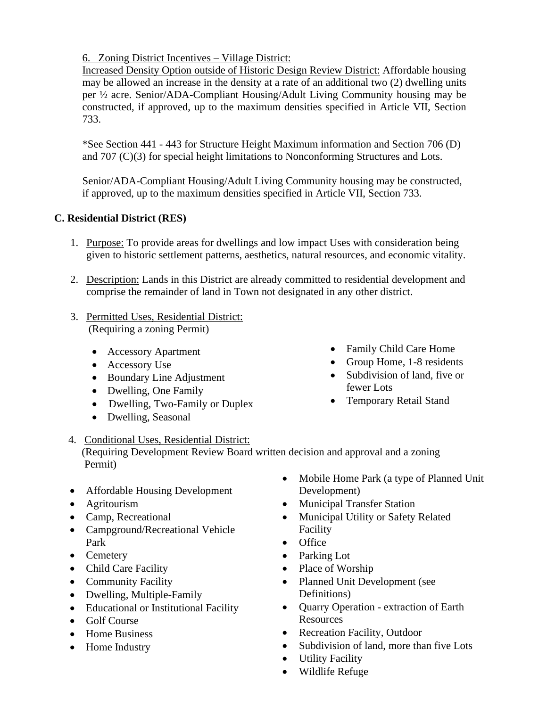6. Zoning District Incentives – Village District:

Increased Density Option outside of Historic Design Review District: Affordable housing may be allowed an increase in the density at a rate of an additional two (2) dwelling units per ½ acre. Senior/ADA-Compliant Housing/Adult Living Community housing may be constructed, if approved, up to the maximum densities specified in Article VII, Section 733.

\*See Section 441 - 443 for Structure Height Maximum information and Section 706 (D) and 707 (C)(3) for special height limitations to Nonconforming Structures and Lots.

Senior/ADA-Compliant Housing/Adult Living Community housing may be constructed, if approved, up to the maximum densities specified in Article VII, Section 733.

### **C. Residential District (RES)**

- 1. Purpose: To provide areas for dwellings and low impact Uses with consideration being given to historic settlement patterns, aesthetics, natural resources, and economic vitality.
- 2. Description: Lands in this District are already committed to residential development and comprise the remainder of land in Town not designated in any other district.
- 3. Permitted Uses, Residential District: (Requiring a zoning Permit)
	- Accessory Apartment
	- Accessory Use
	- Boundary Line Adjustment
	- Dwelling, One Family
	- Dwelling, Two-Family or Duplex
	- Dwelling, Seasonal
- Family Child Care Home
- Group Home, 1-8 residents
- Subdivision of land, five or fewer Lots
- Temporary Retail Stand

### 4. Conditional Uses, Residential District:

 (Requiring Development Review Board written decision and approval and a zoning Permit)

- Affordable Housing Development
- Agritourism
- Camp, Recreational
- Campground/Recreational Vehicle Park
- Cemetery
- Child Care Facility
- Community Facility
- Dwelling, Multiple-Family
- Educational or Institutional Facility
- Golf Course
- Home Business
- Home Industry
- Mobile Home Park (a type of Planned Unit Development)
- Municipal Transfer Station
- Municipal Utility or Safety Related Facility
- Office
- Parking Lot
- Place of Worship
- Planned Unit Development (see Definitions)
- Quarry Operation extraction of Earth Resources
- Recreation Facility, Outdoor
- Subdivision of land, more than five Lots
- Utility Facility
- Wildlife Refuge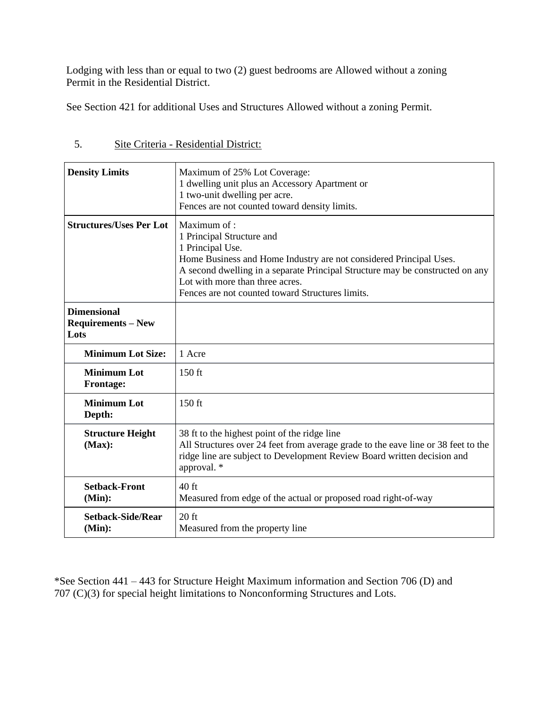Lodging with less than or equal to two (2) guest bedrooms are Allowed without a zoning Permit in the Residential District.

See Section 421 for additional Uses and Structures Allowed without a zoning Permit.

| <b>Density Limits</b>                                   | Maximum of 25% Lot Coverage:<br>1 dwelling unit plus an Accessory Apartment or<br>1 two-unit dwelling per acre.<br>Fences are not counted toward density limits.                                                                                                                                           |  |  |
|---------------------------------------------------------|------------------------------------------------------------------------------------------------------------------------------------------------------------------------------------------------------------------------------------------------------------------------------------------------------------|--|--|
| <b>Structures/Uses Per Lot</b>                          | Maximum of:<br>1 Principal Structure and<br>1 Principal Use.<br>Home Business and Home Industry are not considered Principal Uses.<br>A second dwelling in a separate Principal Structure may be constructed on any<br>Lot with more than three acres.<br>Fences are not counted toward Structures limits. |  |  |
| <b>Dimensional</b><br><b>Requirements - New</b><br>Lots |                                                                                                                                                                                                                                                                                                            |  |  |
| <b>Minimum Lot Size:</b>                                | 1 Acre                                                                                                                                                                                                                                                                                                     |  |  |
| <b>Minimum Lot</b><br><b>Frontage:</b>                  | $150$ ft                                                                                                                                                                                                                                                                                                   |  |  |
| <b>Minimum Lot</b><br>Depth:                            | $150$ ft                                                                                                                                                                                                                                                                                                   |  |  |
| <b>Structure Height</b><br>(Max):                       | 38 ft to the highest point of the ridge line<br>All Structures over 24 feet from average grade to the eave line or 38 feet to the<br>ridge line are subject to Development Review Board written decision and<br>approval. *                                                                                |  |  |
| <b>Setback-Front</b><br>(Min):                          | $40$ ft<br>Measured from edge of the actual or proposed road right-of-way                                                                                                                                                                                                                                  |  |  |
| <b>Setback-Side/Rear</b><br>(Min):                      | $20$ ft<br>Measured from the property line                                                                                                                                                                                                                                                                 |  |  |

5. Site Criteria - Residential District:

\*See Section 441 – 443 for Structure Height Maximum information and Section 706 (D) and 707 (C)(3) for special height limitations to Nonconforming Structures and Lots.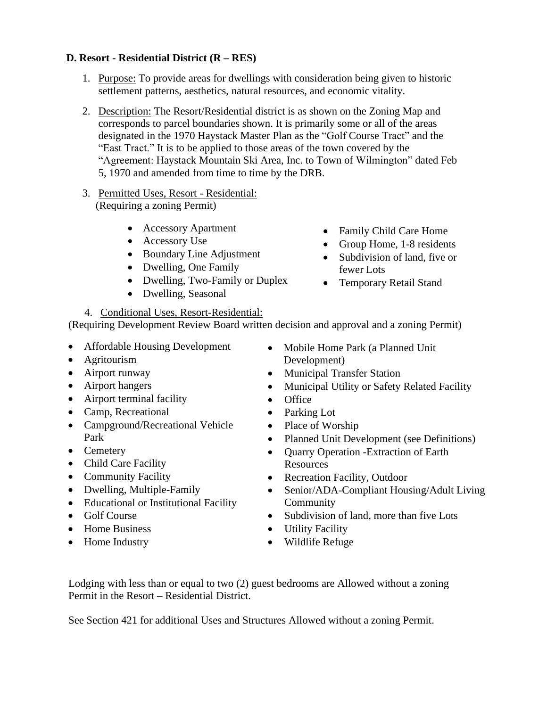# **D. Resort - Residential District (R – RES)**

- 1. Purpose: To provide areas for dwellings with consideration being given to historic settlement patterns, aesthetics, natural resources, and economic vitality.
- 2. Description: The Resort/Residential district is as shown on the Zoning Map and corresponds to parcel boundaries shown. It is primarily some or all of the areas designated in the 1970 Haystack Master Plan as the "Golf Course Tract" and the "East Tract." It is to be applied to those areas of the town covered by the "Agreement: Haystack Mountain Ski Area, Inc. to Town of Wilmington" dated Feb 5, 1970 and amended from time to time by the DRB.
- 3. Permitted Uses, Resort Residential: (Requiring a zoning Permit)
	- Accessory Apartment
	- Accessory Use
	- Boundary Line Adjustment
	- Dwelling, One Family
	- Dwelling, Two-Family or Duplex
	- Dwelling, Seasonal
- Family Child Care Home
- Group Home, 1-8 residents
- Subdivision of land, five or fewer Lots
- Temporary Retail Stand

4. Conditional Uses, Resort-Residential: (Requiring Development Review Board written decision and approval and a zoning Permit)

- Affordable Housing Development
- Agritourism
- Airport runway
- Airport hangers
- Airport terminal facility
- Camp, Recreational
- Campground/Recreational Vehicle Park
- Cemetery
- Child Care Facility
- Community Facility
- Dwelling, Multiple-Family
- Educational or Institutional Facility
- Golf Course
- Home Business
- Home Industry
- Mobile Home Park (a Planned Unit Development)
- Municipal Transfer Station
- Municipal Utility or Safety Related Facility
- Office
- Parking Lot
- Place of Worship
- Planned Unit Development (see Definitions)
- Quarry Operation -Extraction of Earth **Resources**
- Recreation Facility, Outdoor
- Senior/ADA-Compliant Housing/Adult Living Community
- Subdivision of land, more than five Lots
- Utility Facility
- Wildlife Refuge

Lodging with less than or equal to two (2) guest bedrooms are Allowed without a zoning Permit in the Resort – Residential District.

See Section 421 for additional Uses and Structures Allowed without a zoning Permit.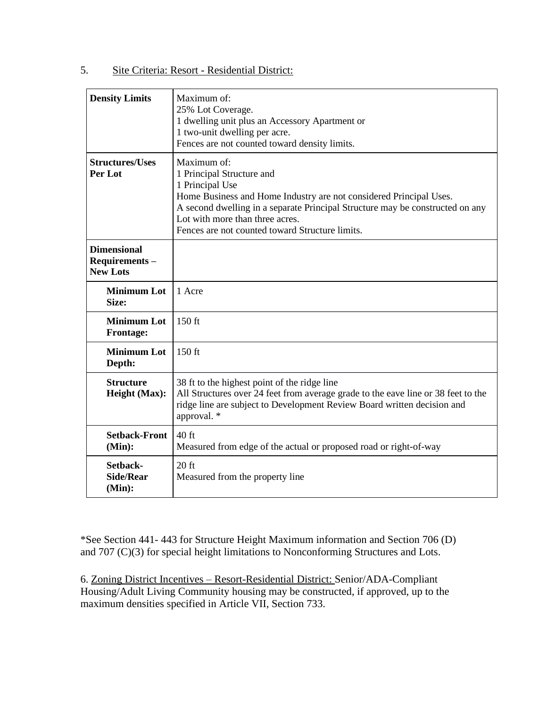#### 5. Site Criteria: Resort - Residential District:

| <b>Density Limits</b>                                  | Maximum of:<br>25% Lot Coverage.<br>1 dwelling unit plus an Accessory Apartment or<br>1 two-unit dwelling per acre.<br>Fences are not counted toward density limits.                                                                                                                                     |
|--------------------------------------------------------|----------------------------------------------------------------------------------------------------------------------------------------------------------------------------------------------------------------------------------------------------------------------------------------------------------|
| <b>Structures/Uses</b><br>Per Lot                      | Maximum of:<br>1 Principal Structure and<br>1 Principal Use<br>Home Business and Home Industry are not considered Principal Uses.<br>A second dwelling in a separate Principal Structure may be constructed on any<br>Lot with more than three acres.<br>Fences are not counted toward Structure limits. |
| <b>Dimensional</b><br>Requirements-<br><b>New Lots</b> |                                                                                                                                                                                                                                                                                                          |
| <b>Minimum Lot</b><br>Size:                            | 1 Acre                                                                                                                                                                                                                                                                                                   |
| <b>Minimum Lot</b><br><b>Frontage:</b>                 | $150$ ft                                                                                                                                                                                                                                                                                                 |
| <b>Minimum Lot</b><br>Depth:                           | 150 ft                                                                                                                                                                                                                                                                                                   |
| <b>Structure</b><br>Height (Max):                      | 38 ft to the highest point of the ridge line<br>All Structures over 24 feet from average grade to the eave line or 38 feet to the<br>ridge line are subject to Development Review Board written decision and<br>approval. *                                                                              |
| <b>Setback-Front</b><br>(Min):                         | $40$ ft<br>Measured from edge of the actual or proposed road or right-of-way                                                                                                                                                                                                                             |
| Setback-<br><b>Side/Rear</b><br>(Min):                 | $20$ ft<br>Measured from the property line                                                                                                                                                                                                                                                               |

\*See Section 441- 443 for Structure Height Maximum information and Section 706 (D) and 707 (C)(3) for special height limitations to Nonconforming Structures and Lots.

6. Zoning District Incentives – Resort-Residential District: Senior/ADA-Compliant Housing/Adult Living Community housing may be constructed, if approved, up to the maximum densities specified in Article VII, Section 733.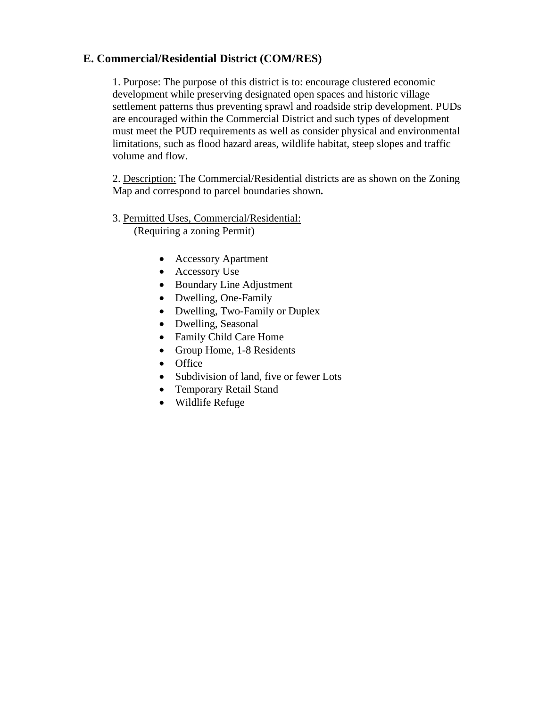### **E. Commercial/Residential District (COM/RES)**

1. Purpose: The purpose of this district is to: encourage clustered economic development while preserving designated open spaces and historic village settlement patterns thus preventing sprawl and roadside strip development. PUDs are encouraged within the Commercial District and such types of development must meet the PUD requirements as well as consider physical and environmental limitations, such as flood hazard areas, wildlife habitat, steep slopes and traffic volume and flow.

2. Description: The Commercial/Residential districts are as shown on the Zoning Map and correspond to parcel boundaries shown*.*

#### 3. Permitted Uses, Commercial/Residential: (Requiring a zoning Permit)

- Accessory Apartment
- Accessory Use
- Boundary Line Adjustment
- Dwelling, One-Family
- Dwelling, Two-Family or Duplex
- Dwelling, Seasonal
- Family Child Care Home
- Group Home, 1-8 Residents
- Office
- Subdivision of land, five or fewer Lots
- Temporary Retail Stand
- Wildlife Refuge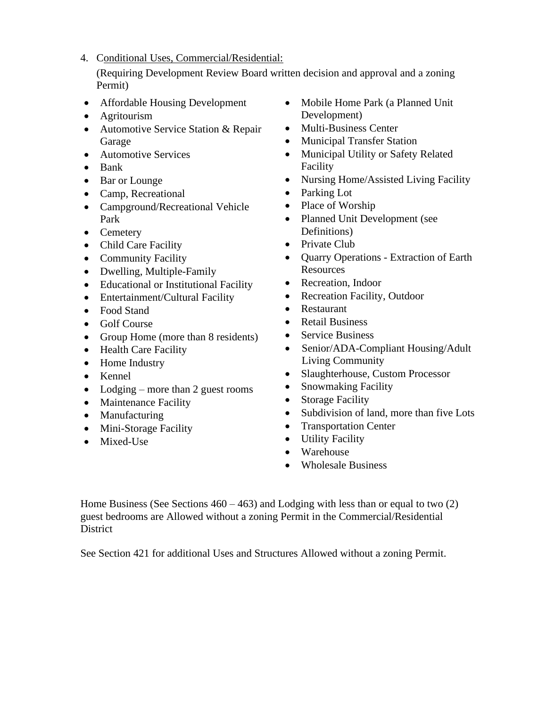4. Conditional Uses, Commercial/Residential:

(Requiring Development Review Board written decision and approval and a zoning Permit)

- Affordable Housing Development
- Agritourism
- Automotive Service Station & Repair Garage
- Automotive Services
- Bank
- Bar or Lounge
- Camp, Recreational
- Campground/Recreational Vehicle Park
- Cemetery
- Child Care Facility
- Community Facility
- Dwelling, Multiple-Family
- Educational or Institutional Facility
- Entertainment/Cultural Facility
- Food Stand
- Golf Course
- Group Home (more than 8 residents)
- Health Care Facility
- Home Industry
- Kennel
- Lodging more than 2 guest rooms
- Maintenance Facility
- Manufacturing
- Mini-Storage Facility
- Mixed-Use
- Mobile Home Park (a Planned Unit Development)
- Multi-Business Center
- Municipal Transfer Station
- Municipal Utility or Safety Related Facility
- Nursing Home/Assisted Living Facility
- Parking Lot
- Place of Worship
- Planned Unit Development (see Definitions)
- Private Club
- Quarry Operations Extraction of Earth **Resources**
- Recreation, Indoor
- Recreation Facility, Outdoor
- Restaurant
- Retail Business
- Service Business
- Senior/ADA-Compliant Housing/Adult Living Community
- Slaughterhouse, Custom Processor
- Snowmaking Facility
- Storage Facility
- Subdivision of land, more than five Lots
- Transportation Center
- Utility Facility
- Warehouse
- Wholesale Business

Home Business (See Sections  $460 - 463$ ) and Lodging with less than or equal to two (2) guest bedrooms are Allowed without a zoning Permit in the Commercial/Residential **District** 

See Section 421 for additional Uses and Structures Allowed without a zoning Permit.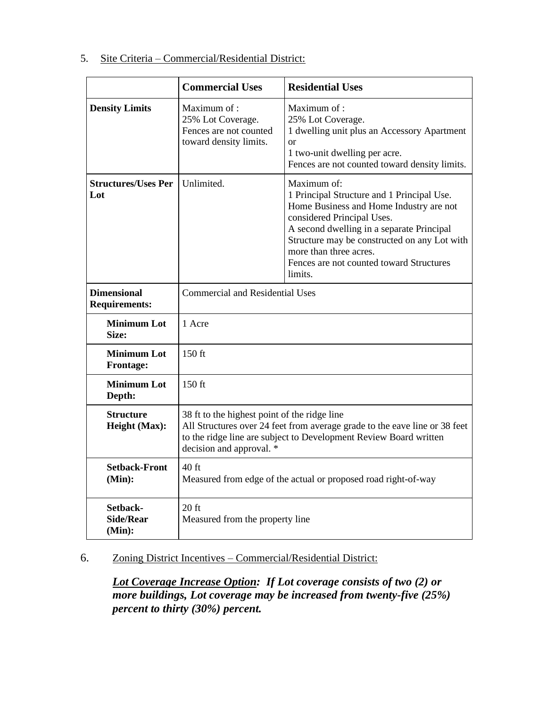|                                                                                                                                   | <b>Commercial Uses</b>                                                                                                                                                                                                      | <b>Residential Uses</b>                                                                                                                                                                                                        |  |
|-----------------------------------------------------------------------------------------------------------------------------------|-----------------------------------------------------------------------------------------------------------------------------------------------------------------------------------------------------------------------------|--------------------------------------------------------------------------------------------------------------------------------------------------------------------------------------------------------------------------------|--|
| <b>Density Limits</b>                                                                                                             | Maximum of :<br>25% Lot Coverage.<br>Fences are not counted<br>toward density limits.                                                                                                                                       | Maximum of :<br>25% Lot Coverage.<br>1 dwelling unit plus an Accessory Apartment<br><sub>or</sub><br>1 two-unit dwelling per acre.<br>Fences are not counted toward density limits.                                            |  |
| <b>Structures/Uses Per</b><br>Unlimited.<br>Maximum of:<br>Lot<br>considered Principal Uses.<br>more than three acres.<br>limits. |                                                                                                                                                                                                                             | 1 Principal Structure and 1 Principal Use.<br>Home Business and Home Industry are not<br>A second dwelling in a separate Principal<br>Structure may be constructed on any Lot with<br>Fences are not counted toward Structures |  |
| <b>Dimensional</b><br><b>Requirements:</b>                                                                                        | <b>Commercial and Residential Uses</b>                                                                                                                                                                                      |                                                                                                                                                                                                                                |  |
| <b>Minimum Lot</b><br>Size:                                                                                                       | 1 Acre                                                                                                                                                                                                                      |                                                                                                                                                                                                                                |  |
| <b>Minimum Lot</b><br><b>Frontage:</b>                                                                                            | $150$ ft                                                                                                                                                                                                                    |                                                                                                                                                                                                                                |  |
| <b>Minimum Lot</b><br>Depth:                                                                                                      | 150 ft                                                                                                                                                                                                                      |                                                                                                                                                                                                                                |  |
| <b>Structure</b><br>Height (Max):                                                                                                 | 38 ft to the highest point of the ridge line<br>All Structures over 24 feet from average grade to the eave line or 38 feet<br>to the ridge line are subject to Development Review Board written<br>decision and approval. * |                                                                                                                                                                                                                                |  |
| <b>Setback-Front</b><br>(Min):                                                                                                    | $40$ ft<br>Measured from edge of the actual or proposed road right-of-way                                                                                                                                                   |                                                                                                                                                                                                                                |  |
| Setback-<br><b>Side/Rear</b><br>(Min):                                                                                            | $20$ ft<br>Measured from the property line                                                                                                                                                                                  |                                                                                                                                                                                                                                |  |

#### 5. Site Criteria – Commercial/Residential District:

# 6. Zoning District Incentives – Commercial/Residential District:

*Lot Coverage Increase Option: If Lot coverage consists of two (2) or more buildings, Lot coverage may be increased from twenty-five (25%) percent to thirty (30%) percent.*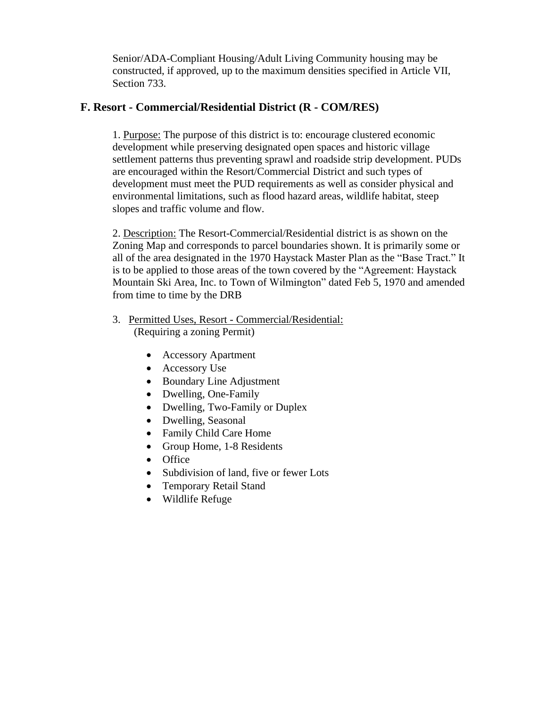Senior/ADA-Compliant Housing/Adult Living Community housing may be constructed, if approved, up to the maximum densities specified in Article VII, Section 733.

### **F. Resort - Commercial/Residential District (R - COM/RES)**

1. Purpose: The purpose of this district is to: encourage clustered economic development while preserving designated open spaces and historic village settlement patterns thus preventing sprawl and roadside strip development. PUDs are encouraged within the Resort/Commercial District and such types of development must meet the PUD requirements as well as consider physical and environmental limitations, such as flood hazard areas, wildlife habitat, steep slopes and traffic volume and flow.

2. Description: The Resort-Commercial/Residential district is as shown on the Zoning Map and corresponds to parcel boundaries shown. It is primarily some or all of the area designated in the 1970 Haystack Master Plan as the "Base Tract." It is to be applied to those areas of the town covered by the "Agreement: Haystack Mountain Ski Area, Inc. to Town of Wilmington" dated Feb 5, 1970 and amended from time to time by the DRB

- 3. Permitted Uses, Resort Commercial/Residential: (Requiring a zoning Permit)
	- Accessory Apartment
	- Accessory Use
	- Boundary Line Adjustment
	- Dwelling, One-Family
	- Dwelling, Two-Family or Duplex
	- Dwelling, Seasonal
	- Family Child Care Home
	- Group Home, 1-8 Residents
	- Office
	- Subdivision of land, five or fewer Lots
	- Temporary Retail Stand
	- Wildlife Refuge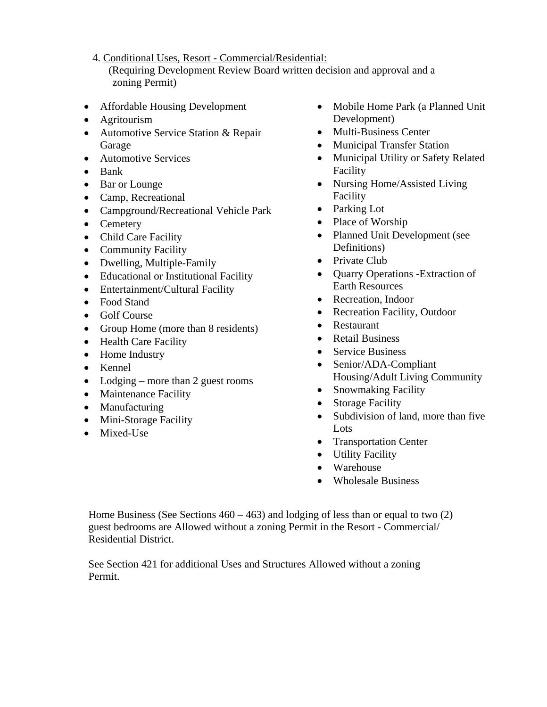4. Conditional Uses, Resort - Commercial/Residential:

 (Requiring Development Review Board written decision and approval and a zoning Permit)

- Affordable Housing Development
- Agritourism
- Automotive Service Station & Repair Garage
- Automotive Services
- Bank
- Bar or Lounge
- Camp, Recreational
- Campground/Recreational Vehicle Park
- Cemetery
- Child Care Facility
- Community Facility
- Dwelling, Multiple-Family
- Educational or Institutional Facility
- Entertainment/Cultural Facility
- Food Stand
- Golf Course
- Group Home (more than 8 residents)
- Health Care Facility
- Home Industry
- Kennel
- Lodging more than 2 guest rooms
- Maintenance Facility
- Manufacturing
- Mini-Storage Facility
- Mixed-Use
- Mobile Home Park (a Planned Unit Development)
- Multi-Business Center
- Municipal Transfer Station
- Municipal Utility or Safety Related Facility
- Nursing Home/Assisted Living Facility
- Parking Lot
- Place of Worship
- Planned Unit Development (see Definitions)
- Private Club
- Quarry Operations -Extraction of Earth Resources
- Recreation, Indoor
- Recreation Facility, Outdoor
- Restaurant
- Retail Business
- Service Business
- Senior/ADA-Compliant Housing/Adult Living Community
- Snowmaking Facility
- Storage Facility
- Subdivision of land, more than five Lots
- Transportation Center
- Utility Facility
- Warehouse
- Wholesale Business

Home Business (See Sections  $460 - 463$ ) and lodging of less than or equal to two (2) guest bedrooms are Allowed without a zoning Permit in the Resort - Commercial/ Residential District.

See Section 421 for additional Uses and Structures Allowed without a zoning Permit.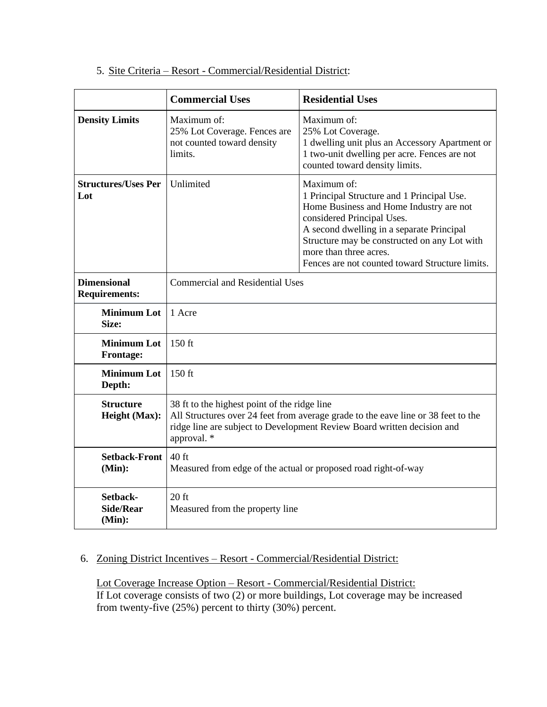|                                            | <b>Commercial Uses</b>                                                                                                                                                                                                      | <b>Residential Uses</b>                                                                                                                                                                                                                                                                                      |  |
|--------------------------------------------|-----------------------------------------------------------------------------------------------------------------------------------------------------------------------------------------------------------------------------|--------------------------------------------------------------------------------------------------------------------------------------------------------------------------------------------------------------------------------------------------------------------------------------------------------------|--|
| <b>Density Limits</b>                      | Maximum of:<br>25% Lot Coverage. Fences are<br>not counted toward density<br>limits.                                                                                                                                        | Maximum of:<br>25% Lot Coverage.<br>1 dwelling unit plus an Accessory Apartment or<br>1 two-unit dwelling per acre. Fences are not<br>counted toward density limits.                                                                                                                                         |  |
| <b>Structures/Uses Per</b><br>Lot          | Unlimited                                                                                                                                                                                                                   | Maximum of:<br>1 Principal Structure and 1 Principal Use.<br>Home Business and Home Industry are not<br>considered Principal Uses.<br>A second dwelling in a separate Principal<br>Structure may be constructed on any Lot with<br>more than three acres.<br>Fences are not counted toward Structure limits. |  |
| <b>Dimensional</b><br><b>Requirements:</b> | <b>Commercial and Residential Uses</b>                                                                                                                                                                                      |                                                                                                                                                                                                                                                                                                              |  |
| <b>Minimum Lot</b><br>Size:                | 1 Acre                                                                                                                                                                                                                      |                                                                                                                                                                                                                                                                                                              |  |
| <b>Minimum Lot</b><br><b>Frontage:</b>     | 150 ft                                                                                                                                                                                                                      |                                                                                                                                                                                                                                                                                                              |  |
| <b>Minimum Lot</b><br>Depth:               | 150 ft                                                                                                                                                                                                                      |                                                                                                                                                                                                                                                                                                              |  |
| <b>Structure</b><br>Height (Max):          | 38 ft to the highest point of the ridge line<br>All Structures over 24 feet from average grade to the eave line or 38 feet to the<br>ridge line are subject to Development Review Board written decision and<br>approval. * |                                                                                                                                                                                                                                                                                                              |  |
| <b>Setback-Front</b><br>(Min):             | 40 ft<br>Measured from edge of the actual or proposed road right-of-way                                                                                                                                                     |                                                                                                                                                                                                                                                                                                              |  |
| Setback-<br><b>Side/Rear</b><br>(Min):     | $20$ ft<br>Measured from the property line                                                                                                                                                                                  |                                                                                                                                                                                                                                                                                                              |  |

### 5. Site Criteria – Resort - Commercial/Residential District:

### 6. Zoning District Incentives – Resort - Commercial/Residential District:

Lot Coverage Increase Option – Resort - Commercial/Residential District: If Lot coverage consists of two (2) or more buildings, Lot coverage may be increased from twenty-five (25%) percent to thirty (30%) percent.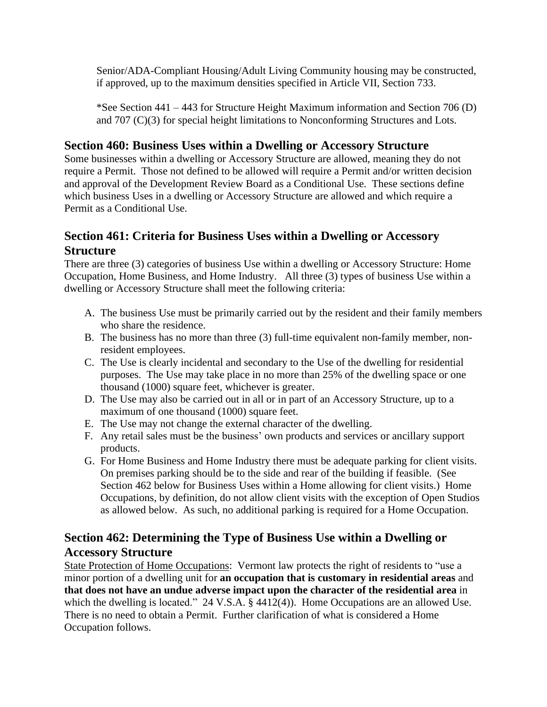Senior/ADA-Compliant Housing/Adult Living Community housing may be constructed, if approved, up to the maximum densities specified in Article VII, Section 733.

\*See Section 441 – 443 for Structure Height Maximum information and Section 706 (D) and 707 (C)(3) for special height limitations to Nonconforming Structures and Lots.

### **Section 460: Business Uses within a Dwelling or Accessory Structure**

Some businesses within a dwelling or Accessory Structure are allowed, meaning they do not require a Permit. Those not defined to be allowed will require a Permit and/or written decision and approval of the Development Review Board as a Conditional Use. These sections define which business Uses in a dwelling or Accessory Structure are allowed and which require a Permit as a Conditional Use.

# **Section 461: Criteria for Business Uses within a Dwelling or Accessory Structure**

There are three (3) categories of business Use within a dwelling or Accessory Structure: Home Occupation, Home Business, and Home Industry. All three (3) types of business Use within a dwelling or Accessory Structure shall meet the following criteria:

- A. The business Use must be primarily carried out by the resident and their family members who share the residence.
- B. The business has no more than three (3) full-time equivalent non-family member, nonresident employees.
- C. The Use is clearly incidental and secondary to the Use of the dwelling for residential purposes. The Use may take place in no more than 25% of the dwelling space or one thousand (1000) square feet, whichever is greater.
- D. The Use may also be carried out in all or in part of an Accessory Structure, up to a maximum of one thousand (1000) square feet.
- E. The Use may not change the external character of the dwelling.
- F. Any retail sales must be the business' own products and services or ancillary support products.
- G. For Home Business and Home Industry there must be adequate parking for client visits. On premises parking should be to the side and rear of the building if feasible. (See Section 462 below for Business Uses within a Home allowing for client visits.) Home Occupations, by definition, do not allow client visits with the exception of Open Studios as allowed below. As such, no additional parking is required for a Home Occupation.

# **Section 462: Determining the Type of Business Use within a Dwelling or Accessory Structure**

State Protection of Home Occupations: Vermont law protects the right of residents to "use a minor portion of a dwelling unit for **an occupation that is customary in residential areas** and **that does not have an undue adverse impact upon the character of the residential area** in which the dwelling is located." 24 V.S.A. § 4412(4)). Home Occupations are an allowed Use. There is no need to obtain a Permit. Further clarification of what is considered a Home Occupation follows.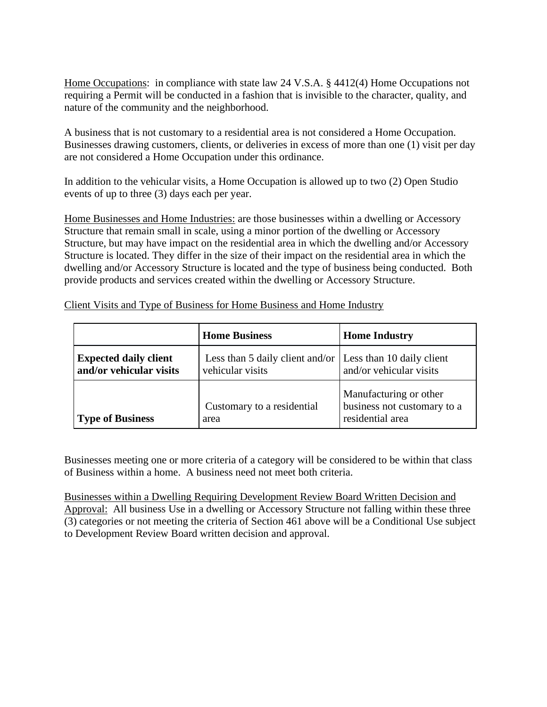Home Occupations: in compliance with state law 24 V.S.A. § 4412(4) Home Occupations not requiring a Permit will be conducted in a fashion that is invisible to the character, quality, and nature of the community and the neighborhood.

A business that is not customary to a residential area is not considered a Home Occupation. Businesses drawing customers, clients, or deliveries in excess of more than one (1) visit per day are not considered a Home Occupation under this ordinance.

In addition to the vehicular visits, a Home Occupation is allowed up to two (2) Open Studio events of up to three (3) days each per year.

Home Businesses and Home Industries: are those businesses within a dwelling or Accessory Structure that remain small in scale, using a minor portion of the dwelling or Accessory Structure, but may have impact on the residential area in which the dwelling and/or Accessory Structure is located. They differ in the size of their impact on the residential area in which the dwelling and/or Accessory Structure is located and the type of business being conducted. Both provide products and services created within the dwelling or Accessory Structure.

|                                                         | <b>Home Business</b>                                                                  | <b>Home Industry</b>                                                      |
|---------------------------------------------------------|---------------------------------------------------------------------------------------|---------------------------------------------------------------------------|
| <b>Expected daily client</b><br>and/or vehicular visits | Less than 5 daily client and/or $\vert$ Less than 10 daily client<br>vehicular visits | and/or vehicular visits                                                   |
| <b>Type of Business</b>                                 | Customary to a residential<br>area                                                    | Manufacturing or other<br>business not customary to a<br>residential area |

Client Visits and Type of Business for Home Business and Home Industry

Businesses meeting one or more criteria of a category will be considered to be within that class of Business within a home. A business need not meet both criteria.

Businesses within a Dwelling Requiring Development Review Board Written Decision and Approval: All business Use in a dwelling or Accessory Structure not falling within these three (3) categories or not meeting the criteria of Section 461 above will be a Conditional Use subject to Development Review Board written decision and approval.